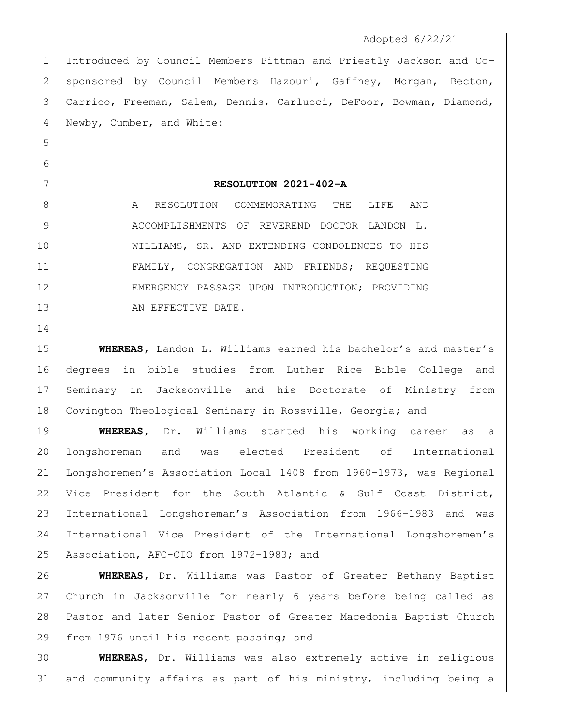## Adopted 6/22/21

 Introduced by Council Members Pittman and Priestly Jackson and Co-2 | sponsored by Council Members Hazouri, Gaffney, Morgan, Becton, Carrico, Freeman, Salem, Dennis, Carlucci, DeFoor, Bowman, Diamond, Newby, Cumber, and White:

**RESOLUTION 2021-402-A**

8 A RESOLUTION COMMEMORATING THE LIFE AND 9 ACCOMPLISHMENTS OF REVEREND DOCTOR LANDON L. WILLIAMS, SR. AND EXTENDING CONDOLENCES TO HIS FAMILY, CONGREGATION AND FRIENDS; REQUESTING EMERGENCY PASSAGE UPON INTRODUCTION; PROVIDING 13 AN EFFECTIVE DATE.

 **WHEREAS,** Landon L. Williams earned his bachelor's and master's degrees in bible studies from Luther Rice Bible College and Seminary in Jacksonville and his Doctorate of Ministry from Covington Theological Seminary in Rossville, Georgia**;** and

 **WHEREAS,** Dr. Williams started his working career as a longshoreman and was elected President of International Longshoremen's Association Local 1408 from 1960-1973, was Regional Vice President for the South Atlantic & Gulf Coast District, International Longshoreman's Association from 1966–1983 and was International Vice President of the International Longshoremen's Association, AFC-CIO from 1972–1983; and

 **WHEREAS,** Dr. Williams was Pastor of Greater Bethany Baptist Church in Jacksonville for nearly 6 years before being called as Pastor and later Senior Pastor of Greater Macedonia Baptist Church 29 from 1976 until his recent passing; and

 **WHEREAS**, Dr. Williams was also extremely active in religious and community affairs as part of his ministry, including being a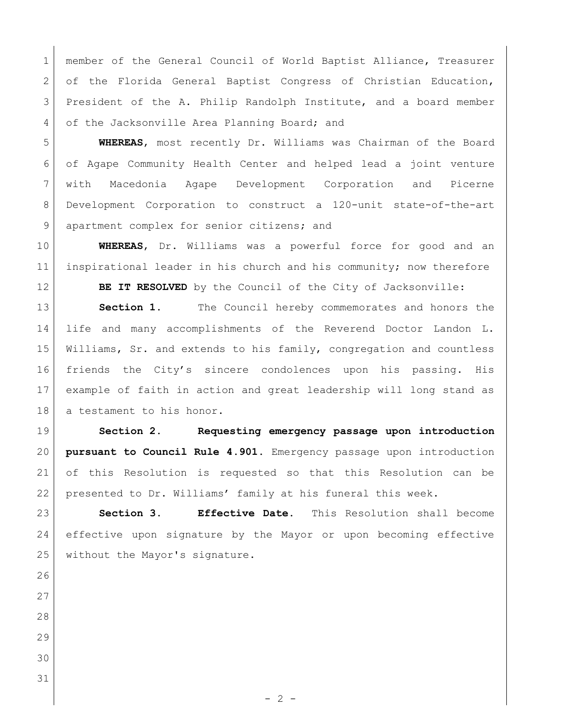1 | member of the General Council of World Baptist Alliance, Treasurer 2 of the Florida General Baptist Congress of Christian Education, President of the A. Philip Randolph Institute, and a board member 4 of the Jacksonville Area Planning Board; and

 **WHEREAS**, most recently Dr. Williams was Chairman of the Board of Agape Community Health Center and helped lead a joint venture with Macedonia Agape Development Corporation and Picerne Development Corporation to construct a 120-unit state-of-the-art 9 apartment complex for senior citizens; and

 **WHEREAS**, Dr. Williams was a powerful force for good and an 11 inspirational leader in his church and his community; now therefore **BE IT RESOLVED** by the Council of the City of Jacksonville:

**Section 1.** The Council hereby commemorates and honors the life and many accomplishments of the Reverend Doctor Landon L. Williams, Sr. and extends to his family, congregation and countless friends the City's sincere condolences upon his passing. His example of faith in action and great leadership will long stand as 18 | a testament to his honor.

 **Section 2. Requesting emergency passage upon introduction pursuant to Council Rule 4.901.** Emergency passage upon introduction of this Resolution is requested so that this Resolution can be 22 | presented to Dr. Williams' family at his funeral this week.

 **Section 3. Effective Date.** This Resolution shall become effective upon signature by the Mayor or upon becoming effective without the Mayor's signature.

 

- 
- 
-